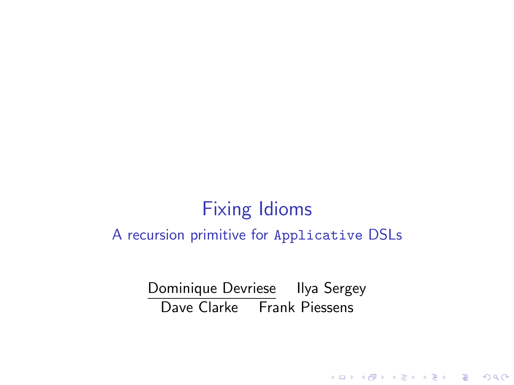# Fixing Idioms A recursion primitive for Applicative DSLs

Dominique Devriese Ilya Sergey Dave Clarke Frank Piessens

**K ロ ▶ K @ ▶ K 할 X X 할 X 및 할 X X Q Q O \***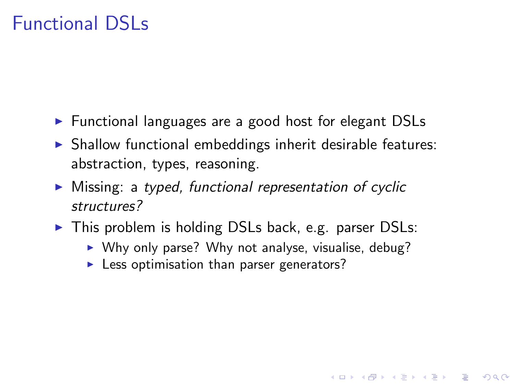## Functional DSLs

- $\triangleright$  Functional languages are a good host for elegant DSLs
- $\triangleright$  Shallow functional embeddings inherit desirable features: abstraction, types, reasoning.
- $\triangleright$  Missing: a typed, functional representation of cyclic structures?
- $\triangleright$  This problem is holding DSLs back, e.g. parser DSLs:
	- $\triangleright$  Why only parse? Why not analyse, visualise, debug?

**KORK ERKER ADE YOUR** 

 $\blacktriangleright$  Less optimisation than parser generators?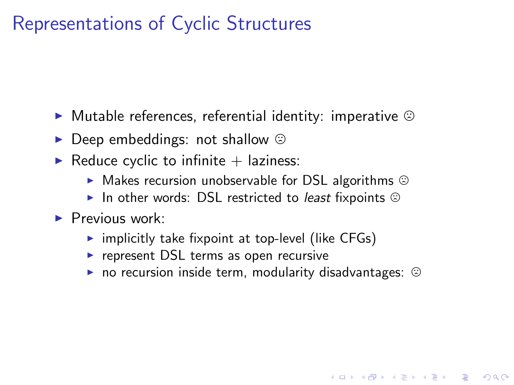## Representations of Cyclic Structures

- $\blacktriangleright$  Mutable references, referential identity: imperative  $\odot$
- $\triangleright$  Deep embeddings: not shallow  $\odot$
- $\blacktriangleright$  Reduce cyclic to infinite  $+$  laziness:
	- $\blacktriangleright$  Makes recursion unobservable for DSL algorithms  $\odot$
	- In other words: DSL restricted to *least* fixpoints  $\odot$
- $\blacktriangleright$  Previous work:
	- $\triangleright$  implicitly take fixpoint at top-level (like CFGs)
	- $\triangleright$  represent DSL terms as open recursive
	- $\triangleright$  no recursion inside term, modularity disadvantages:  $\odot$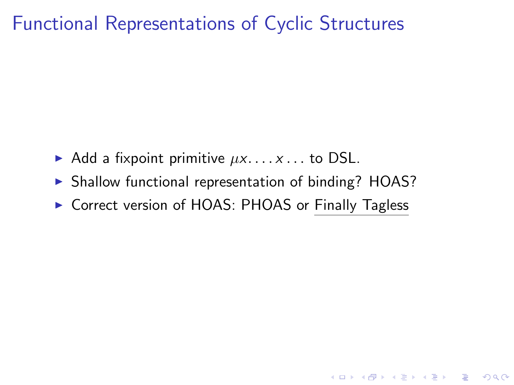#### Functional Representations of Cyclic Structures

- Add a fixpoint primitive  $\mu x$ .... $x$ ... to DSL.
- $\triangleright$  Shallow functional representation of binding? HOAS?
- ▶ Correct version of HOAS: PHOAS or Finally Tagless

K ロ ▶ K @ ▶ K 할 > K 할 > 1 할 > 1 이익어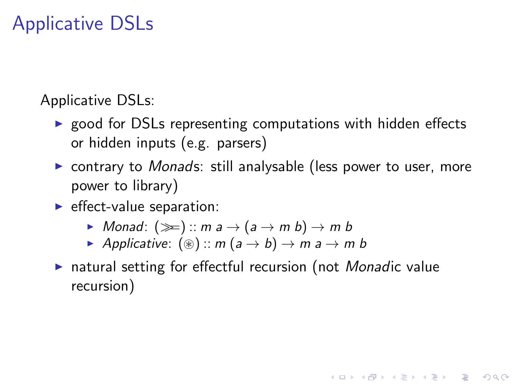# Applicative DSLs

Applicative DSLs:

- $\triangleright$  good for DSLs representing computations with hidden effects or hidden inputs (e.g. parsers)
- $\triangleright$  contrary to *Monads*: still analysable (less power to user, more power to library)
- $\blacktriangleright$  effect-value separation:
	- $\triangleright$  Monad:  $(\ggg)$  :: m a  $\rightarrow$  (a  $\rightarrow$  m b)  $\rightarrow$  m b
	- Applicative:  $(\circledast)$  :: m  $(a \rightarrow b) \rightarrow m a \rightarrow m b$
- $\triangleright$  natural setting for effectful recursion (not *Monadic* value recursion)

**KORKAR KERKER EL VOLO**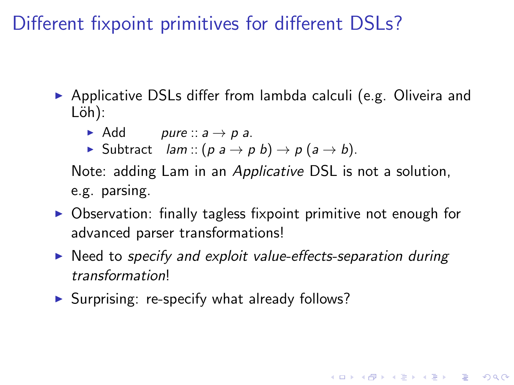Different fixpoint primitives for different DSLs?

- $\triangleright$  Applicative DSLs differ from lambda calculi (e.g. Oliveira and Löh):
	- Add pure ::  $a \rightarrow p a$ .
	- **►** Subtract *lam* ::  $(p a \rightarrow p b) \rightarrow p (a \rightarrow b)$ .

Note: adding Lam in an Applicative DSL is not a solution, e.g. parsing.

- $\triangleright$  Observation: finally tagless fixpoint primitive not enough for advanced parser transformations!
- $\triangleright$  Need to specify and exploit value-effects-separation during transformation!

**K ロ ▶ K @ ▶ K 할 X X 할 X → 할 X → 9 Q Q ^** 

 $\triangleright$  Surprising: re-specify what already follows?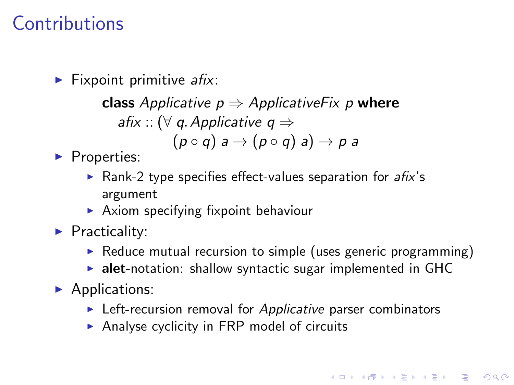## Contributions

 $\blacktriangleright$  Fixpoint primitive afix:

class Applicative  $p \Rightarrow$  Applicative Fix p where afix :: ( $\forall$  g. Applicative  $q \Rightarrow$  $(p \circ q)$   $\Rightarrow$   $(p \circ q)$  a)  $\rightarrow$  p a

 $\blacktriangleright$  Properties:

- $\triangleright$  Rank-2 type specifies effect-values separation for afix's argument
- $\blacktriangleright$  Axiom specifying fixpoint behaviour
- $\blacktriangleright$  Practicality:
	- $\triangleright$  Reduce mutual recursion to simple (uses generic programming)
	- $\triangleright$  alet-notation: shallow syntactic sugar implemented in GHC
- $\blacktriangleright$  Applications:
	- $\blacktriangleright$  Left-recursion removal for Applicative parser combinators
	- $\triangleright$  Analyse cyclicity in FRP model of circuits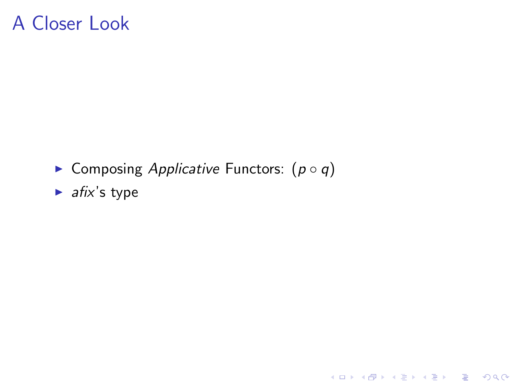### A Closer Look

► Composing Applicative Functors:  $(p \circ q)$ 

イロト イ御 トイミト イミト ニミー りんぴ

 $\blacktriangleright$  afix's type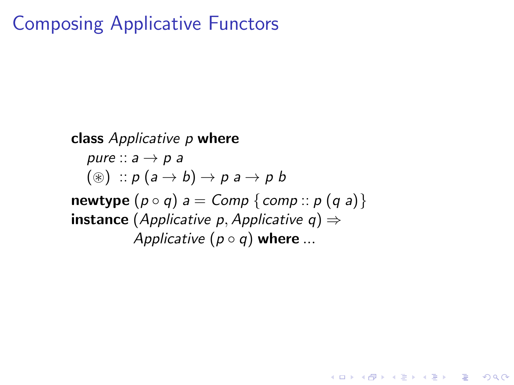#### Composing Applicative Functors

class Applicative p where pure  $\therefore a \rightarrow p$  a  $(\circledast) :: p (a \rightarrow b) \rightarrow p a \rightarrow p b$ newtype  $(p \circ q)$  a = Comp {comp ::  $p(q a)$ } **instance** (Applicative p, Applicative  $q$ )  $\Rightarrow$ Applicative  $(p \circ q)$  where ...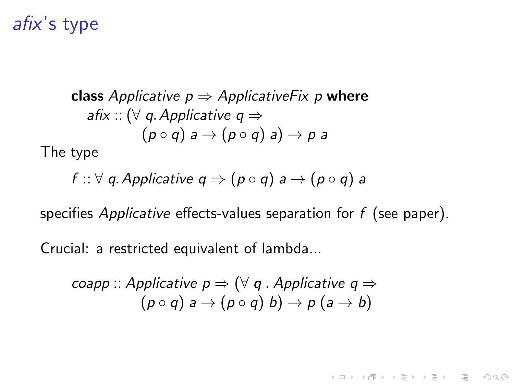#### afix's type

class Applicative  $p \Rightarrow$  Applicative Fix p where afix :: ( $\forall$  q. Applicative  $q \Rightarrow$  $(p \circ q)$  a  $\rightarrow (p \circ q)$  a)  $\rightarrow p$  a The type

$$
f :: \forall \; q. \textit{Applicative} \; q \Rightarrow (p \circ q) \; a \rightarrow (p \circ q) \; a
$$

specifies *Applicative* effects-values separation for  $f$  (see paper).

**KORK ERKER ADE YOUR** 

Crucial: a restricted equivalent of lambda...

\n
$$
\text{cospp} :: \text{Applicative } p \Rightarrow (\forall q \text{ .}\ \text{Applicative } q \Rightarrow (p \circ q) \text{ a } \rightarrow (p \circ q) \text{ b}) \rightarrow p \text{ (a } \rightarrow b)
$$
\n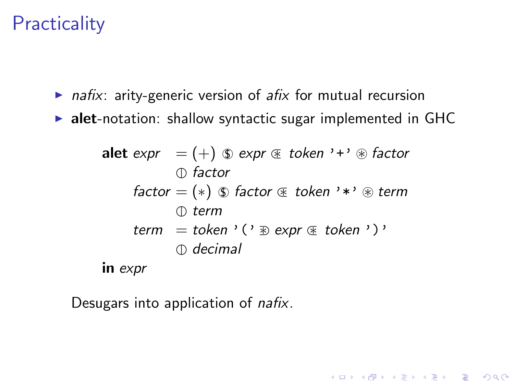## **Practicality**

- $\triangleright$  nafix: arity-generic version of afix for mutual recursion
- $\triangleright$  alet-notation: shallow syntactic sugar implemented in GHC

alet expr =  $(+)$   $\circled{y}$  expr  $\circled{z}$  token '+'  $\circled{z}$  factor  $\bigcirc$  factor factor =  $(*)$   $\circledast$  factor  $\circledast$  token '\*'  $\circledast$  term  $\mathcal{D}$  term term = token '('  $\mathcal{D}$  expr  $\mathcal{F}$  token ')'  $\bigcirc$  decimal in expr

**KORK ERKER ADE YOUR** 

Desugars into application of *nafix*.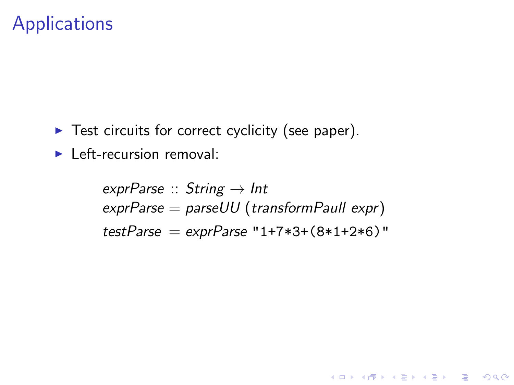#### **Applications**

- $\blacktriangleright$  Test circuits for correct cyclicity (see paper).
- $\blacktriangleright$  Left-recursion removal:

exprParse  $::$  String  $\rightarrow$  Int  $expPrParse = parseUU$  (transformPaull  $expr$ )  $testParse = exprParse "1+7*3+(8*1+2*6)"$ 

**KORKA SERKER ORA**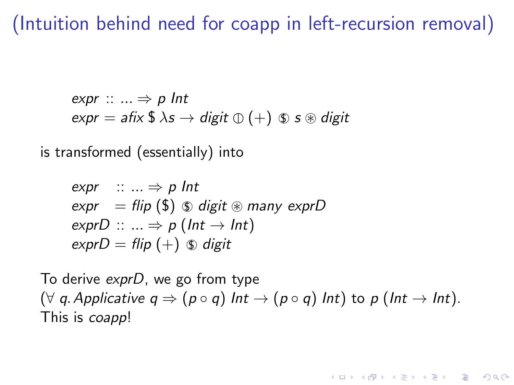### (Intuition behind need for coapp in left-recursion removal)

expr  $\cdots \Rightarrow p$  Int  $expr = afix$  \$  $\lambda s \rightarrow digit \oplus (+) \otimes s \otimes digit$ 

is transformed (essentially) into

$$
\begin{aligned}\n\text{expr} &:: \dots \Rightarrow p \text{ Int} \\
\text{expr} &= \text{flip } (\$) \text{ } \$ \text{ digit } \$ \text{ many } \text{exprD} \\
\text{exprD} &:: \dots \Rightarrow p \text{ (Int } \rightarrow \text{Int)} \\
\text{exprD} &= \text{flip } (+) \text{ } \$ \text{ digit}\n\end{aligned}
$$

To derive exprD, we go from type  $(\forall q$ . Applicative  $q \Rightarrow (p \circ q)$  Int  $\rightarrow (p \circ q)$  Int) to p (Int  $\rightarrow$  Int). This is coapp!